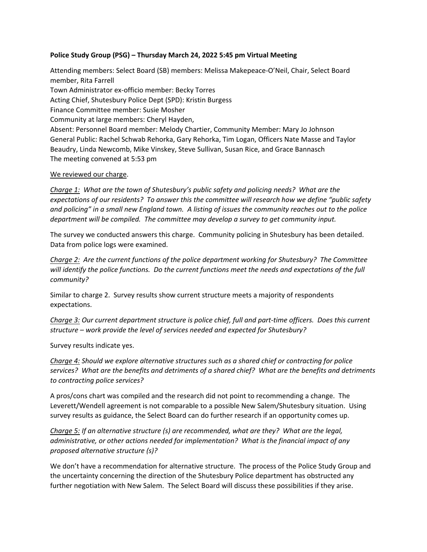## **Police Study Group (PSG) – Thursday March 24, 2022 5:45 pm Virtual Meeting**

Attending members: Select Board (SB) members: Melissa Makepeace-O'Neil, Chair, Select Board member, Rita Farrell Town Administrator ex-officio member: Becky Torres Acting Chief, Shutesbury Police Dept (SPD): Kristin Burgess Finance Committee member: Susie Mosher Community at large members: Cheryl Hayden, Absent: Personnel Board member: Melody Chartier, Community Member: Mary Jo Johnson General Public: Rachel Schwab Rehorka, Gary Rehorka, Tim Logan, Officers Nate Masse and Taylor Beaudry, Linda Newcomb, Mike Vinskey, Steve Sullivan, Susan Rice, and Grace Bannasch The meeting convened at 5:53 pm

## We reviewed our charge.

*Charge 1: What are the town of Shutesbury's public safety and policing needs? What are the expectations of our residents? To answer this the committee will research how we define "public safety and policing" in a small new England town. A listing of issues the community reaches out to the police department will be compiled. The committee may develop a survey to get community input.*

The survey we conducted answers this charge. Community policing in Shutesbury has been detailed. Data from police logs were examined.

*Charge 2: Are the current functions of the police department working for Shutesbury? The Committee will identify the police functions. Do the current functions meet the needs and expectations of the full community?*

Similar to charge 2. Survey results show current structure meets a majority of respondents expectations.

*Charge 3: Our current department structure is police chief, full and part-time officers. Does this current structure – work provide the level of services needed and expected for Shutesbury?*

Survey results indicate yes.

*Charge 4: Should we explore alternative structures such as a shared chief or contracting for police services? What are the benefits and detriments of a shared chief? What are the benefits and detriments to contracting police services?*

A pros/cons chart was compiled and the research did not point to recommending a change. The Leverett/Wendell agreement is not comparable to a possible New Salem/Shutesbury situation. Using survey results as guidance, the Select Board can do further research if an opportunity comes up.

*Charge 5: If an alternative structure (s) are recommended, what are they? What are the legal, administrative, or other actions needed for implementation? What is the financial impact of any proposed alternative structure (s)?*

We don't have a recommendation for alternative structure. The process of the Police Study Group and the uncertainty concerning the direction of the Shutesbury Police department has obstructed any further negotiation with New Salem. The Select Board will discuss these possibilities if they arise.